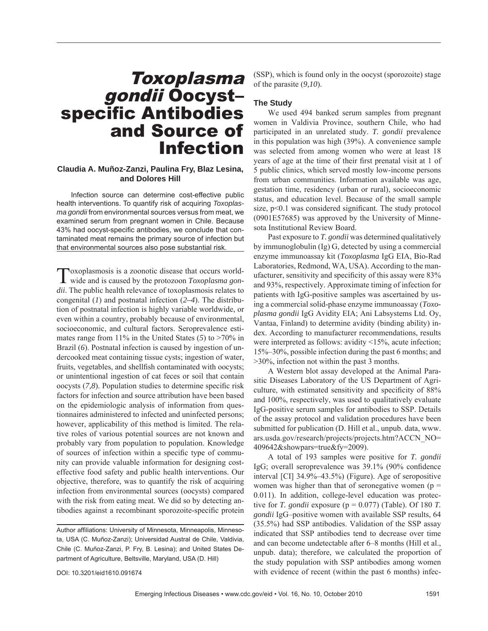# Toxoplasma gondii Oocyst– specific Antibodies and Source of Infection

## **Claudia A. Muñoz-Zanzi, Paulina Fry, Blaz Lesina, and Dolores Hill**

Infection source can determine cost-effective public health interventions. To quantify risk of acquiring *Toxoplasma gondii* from environmental sources versus from meat, we examined serum from pregnant women in Chile. Because 43% had oocyst-specific antibodies, we conclude that contaminated meat remains the primary source of infection but that environmental sources also pose substantial risk.

Toxoplasmosis is a zoonotic disease that occurs world-wide and is caused by the protozoon *Toxoplasma gondii*. The public health relevance of toxoplasmosis relates to congenital (*1*) and postnatal infection (*2–4*). The distribution of postnatal infection is highly variable worldwide, or even within a country, probably because of environmental, socioeconomic, and cultural factors. Seroprevalence estimates range from 11% in the United States (*5*) to >70% in Brazil (*6*). Postnatal infection is caused by ingestion of undercooked meat containing tissue cysts; ingestion of water, fruits, vegetables, and shellfish contaminated with oocysts; or unintentional ingestion of cat feces or soil that contain oocysts (7,8). Population studies to determine specific risk factors for infection and source attribution have been based on the epidemiologic analysis of information from questionnaires administered to infected and uninfected persons; however, applicability of this method is limited. The relative roles of various potential sources are not known and probably vary from population to population. Knowledge of sources of infection within a specific type of community can provide valuable information for designing costeffective food safety and public health interventions. Our objective, therefore, was to quantify the risk of acquiring infection from environmental sources (oocysts) compared with the risk from eating meat. We did so by detecting antibodies against a recombinant sporozoite-specific protein

(SSP), which is found only in the oocyst (sporozoite) stage of the parasite (*9,10*).

## **The Study**

We used 494 banked serum samples from pregnant women in Valdivia Province, southern Chile, who had participated in an unrelated study. *T. gondii* prevalence in this population was high (39%). A convenience sample was selected from among women who were at least 18 years of age at the time of their first prenatal visit at 1 of 5 public clinics, which served mostly low-income persons from urban communities. Information available was age, gestation time, residency (urban or rural), socioeconomic status, and education level. Because of the small sample size,  $p<0.1$  was considered significant. The study protocol (0901E57685) was approved by the University of Minnesota Institutional Review Board.

Past exposure to *T. gondii* was determined qualitatively by immunoglobulin (Ig) G, detected by using a commercial enzyme immunoassay kit (*Toxoplasma* IgG EIA, Bio-Rad Laboratories, Redmond, WA, USA). According to the manufacturer, sensitivity and specificity of this assay were 83% and 93%, respectively. Approximate timing of infection for patients with IgG-positive samples was ascertained by using a commercial solid-phase enzyme immunoassay (*Toxoplasma gondii* IgG Avidity EIA; Ani Labsystems Ltd. Oy, Vantaa, Finland) to determine avidity (binding ability) index. According to manufacturer recommendations, results were interpreted as follows: avidity <15%, acute infection; 15%–30%, possible infection during the past 6 months; and >30%, infection not within the past 3 months.

A Western blot assay developed at the Animal Parasitic Diseases Laboratory of the US Department of Agriculture, with estimated sensitivity and specificity of 88% and 100%, respectively, was used to qualitatively evaluate IgG-positive serum samples for antibodies to SSP. Details of the assay protocol and validation procedures have been submitted for publication (D. Hill et al., unpub. data, www. ars.usda.gov/research/projects/projects.htm?ACCN\_NO= 409642&showpars=true&fy=2009).

A total of 193 samples were positive for *T. gondii* IgG; overall seroprevalence was  $39.1\%$  (90% confidence interval [CI] 34.9%–43.5%) (Figure). Age of seropositive women was higher than that of seronegative women ( $p =$ 0.011). In addition, college-level education was protective for *T. gondii* exposure ( $p = 0.077$ ) (Table). Of 180 *T. gondii* IgG–positive women with available SSP results, 64 (35.5%) had SSP antibodies. Validation of the SSP assay indicated that SSP antibodies tend to decrease over time and can become undetectable after 6–8 months (Hill et al., unpub. data); therefore, we calculated the proportion of the study population with SSP antibodies among women with evidence of recent (within the past 6 months) infec-

DOI: 10.3201/eid1610.091674

Author affiliations: University of Minnesota, Minneapolis, Minnesota, USA (C. Muñoz-Zanzi); Universidad Austral de Chile, Valdivia, Chile (C. Muñoz-Zanzi, P. Fry, B. Lesina); and United States Department of Agriculture, Beltsville, Maryland, USA (D. Hill)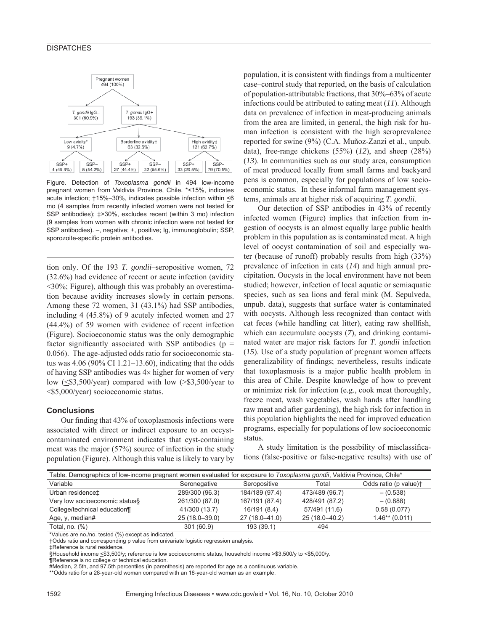#### **DISPATCHES**



Figure. Detection of *Toxoplasma gondii* in 494 low-income pregnant women from Valdivia Province, Chile. \*<15%, indicates acute infection;  $\uparrow$  15%–30%, indicates possible infection within  $\leq$ 6 mo (4 samples from recently infected women were not tested for SSP antibodies); ‡>30%, excludes recent (within 3 mo) infection (9 samples from women with chronic infection were not tested for SSP antibodies). –, negative; +, positive; Ig, immunoglobulin; SSP, sporozoite-specific protein antibodies.

tion only. Of the 193 *T. gondii*–seropositive women, 72 (32.6%) had evidence of recent or acute infection (avidity <30%; Figure), although this was probably an overestimation because avidity increases slowly in certain persons. Among these 72 women, 31 (43.1%) had SSP antibodies, including 4 (45.8%) of 9 acutely infected women and 27 (44.4%) of 59 women with evidence of recent infection (Figure). Socioeconomic status was the only demographic factor significantly associated with SSP antibodies ( $p =$ 0.056). The age-adjusted odds ratio for socioeconomic status was  $4.06$  (90% CI 1.21–13.60), indicating that the odds of having SSP antibodies was  $4\times$  higher for women of very low  $(\leq 3,500/\text{year})$  compared with low  $(\geq 3,500/\text{year})$  to <\$5,000/year) socioeconomic status.

#### **Conclusions**

Our finding that 43% of toxoplasmosis infections were associated with direct or indirect exposure to an occystcontaminated environment indicates that cyst-containing meat was the major (57%) source of infection in the study population (Figure). Although this value is likely to vary by population, it is consistent with findings from a multicenter case–control study that reported, on the basis of calculation of population-attributable fractions, that 30%–63% of acute infections could be attributed to eating meat (*11*). Although data on prevalence of infection in meat-producing animals from the area are limited, in general, the high risk for human infection is consistent with the high seroprevalence reported for swine (9%) (C.A. Muñoz-Zanzi et al., unpub. data), free-range chickens (55%) (*12*), and sheep (28%) (*13*). In communities such as our study area, consumption of meat produced locally from small farms and backyard pens is common, especially for populations of low socioeconomic status. In these informal farm management systems, animals are at higher risk of acquiring *T. gondii*.

Our detection of SSP antibodies in 43% of recently infected women (Figure) implies that infection from ingestion of oocysts is an almost equally large public health problem in this population as is contaminated meat. A high level of oocyst contamination of soil and especially water (because of runoff) probably results from high (33%) prevalence of infection in cats (*14*) and high annual precipitation. Oocysts in the local environment have not been studied; however, infection of local aquatic or semiaquatic species, such as sea lions and feral mink (M. Sepulveda, unpub. data), suggests that surface water is contaminated with oocysts. Although less recognized than contact with cat feces (while handling cat litter), eating raw shellfish, which can accumulate oocysts (*7*), and drinking contaminated water are major risk factors for *T. gondii* infection (*15*). Use of a study population of pregnant women affects generalizability of findings; nevertheless, results indicate that toxoplasmosis is a major public health problem in this area of Chile. Despite knowledge of how to prevent or minimize risk for infection (e.g., cook meat thoroughly, freeze meat, wash vegetables, wash hands after handling raw meat and after gardening), the high risk for infection in this population highlights the need for improved education programs, especially for populations of low socioeconomic status.

A study limitation is the possibility of misclassifications (false-positive or false-negative results) with use of

| Table. Demographics of low-income pregnant women evaluated for exposure to Toxoplasma gondii, Valdivia Province, Chile* |                |                |                |                                   |
|-------------------------------------------------------------------------------------------------------------------------|----------------|----------------|----------------|-----------------------------------|
| Variable                                                                                                                | Seronegative   | Seropositive   | Total          | Odds ratio (p value) <sup>+</sup> |
| Urban residence‡                                                                                                        | 289/300 (96.3) | 184/189 (97.4) | 473/489 (96.7) | $- (0.538)$                       |
| Very low socioeconomic status§                                                                                          | 261/300 (87.0) | 167/191 (87.4) | 428/491 (87.2) | $- (0.888)$                       |
| College/technical education¶                                                                                            | 41/300 (13.7)  | 16/191 (8.4)   | 57/491 (11.6)  | 0.58(0.077)                       |
| Age, y, median#                                                                                                         | 25 (18.0-39.0) | 27 (18.0-41.0) | 25 (18.0-40.2) | $1.46**$ (0.011)                  |
| Total, no. (%)                                                                                                          | 301 (60.9)     | 193 (39.1)     | 494            |                                   |

\*Values are no./no. tested (%) except as indicated.

†Odds ratio and corresponding p value from univariate logistic regression analysis.

‡Reference is rural residence.

§Household income <\$3,500/y; reference is low socioeconomic status, household income >\$3,500/y to <\$5,000/y.

¶Reference is no college or technical education.

#Median, 2.5th, and 97.5th percentiles (in parenthesis) are reported for age as a continuous variable.

\*\*Odds ratio for a 28-year-old woman compared with an 18-year-old woman as an example.